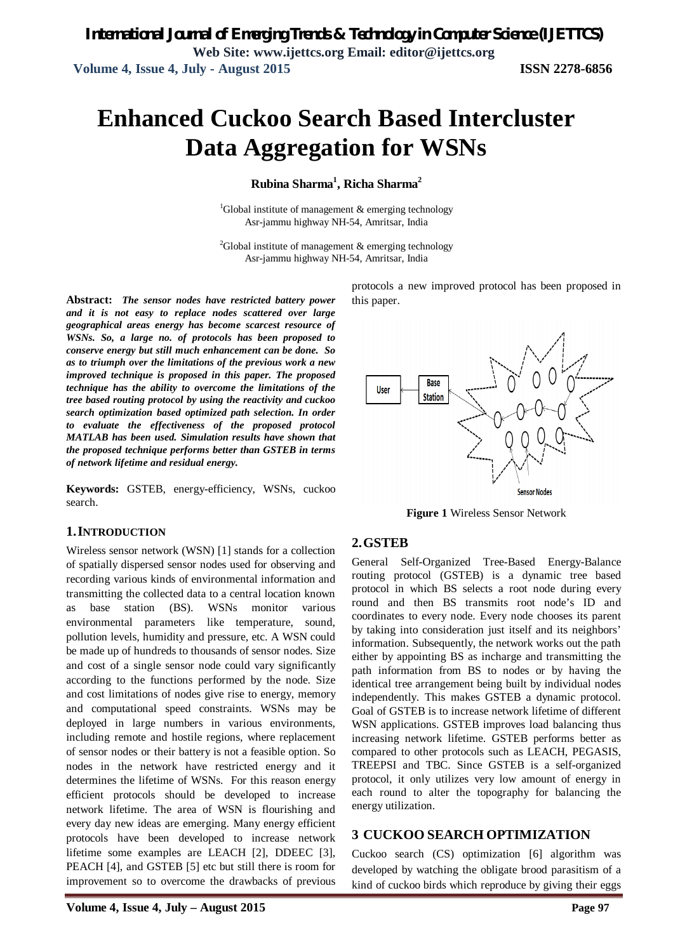# **Enhanced Cuckoo Search Based Intercluster Data Aggregation for WSNs**

#### **Rubina Sharma<sup>1</sup> , Richa Sharma<sup>2</sup>**

<sup>1</sup>Global institute of management  $\&$  emerging technology Asr-jammu highway NH-54, Amritsar, India

<sup>2</sup>Global institute of management  $\&$  emerging technology Asr-jammu highway NH-54, Amritsar, India

**Abstract:** *The sensor nodes have restricted battery power and it is not easy to replace nodes scattered over large geographical areas energy has become scarcest resource of WSNs. So, a large no. of protocols has been proposed to conserve energy but still much enhancement can be done. So as to triumph over the limitations of the previous work a new improved technique is proposed in this paper. The proposed technique has the ability to overcome the limitations of the tree based routing protocol by using the reactivity and cuckoo search optimization based optimized path selection. In order to evaluate the effectiveness of the proposed protocol MATLAB has been used. Simulation results have shown that the proposed technique performs better than GSTEB in terms of network lifetime and residual energy.*

**Keywords:** GSTEB, energy-efficiency, WSNs, cuckoo search.

#### **1.INTRODUCTION**

Wireless sensor network (WSN) [1] stands for a collection of spatially dispersed sensor nodes used for observing and recording various kinds of environmental information and transmitting the collected data to a central location known as base station (BS). WSNs monitor various environmental parameters like temperature, sound, pollution levels, humidity and pressure, etc. A WSN could be made up of hundreds to thousands of sensor nodes. Size and cost of a single sensor node could vary significantly according to the functions performed by the node. Size and cost limitations of nodes give rise to energy, memory and computational speed constraints. WSNs may be deployed in large numbers in various environments, including remote and hostile regions, where replacement of sensor nodes or their battery is not a feasible option. So nodes in the network have restricted energy and it determines the lifetime of WSNs. For this reason energy efficient protocols should be developed to increase network lifetime. The area of WSN is flourishing and every day new ideas are emerging. Many energy efficient protocols have been developed to increase network lifetime some examples are LEACH [2], DDEEC [3], PEACH [4], and GSTEB [5] etc but still there is room for improvement so to overcome the drawbacks of previous protocols a new improved protocol has been proposed in this paper.



**Figure 1** Wireless Sensor Network

#### **2.GSTEB**

General Self-Organized Tree-Based Energy-Balance routing protocol (GSTEB) is a dynamic tree based protocol in which BS selects a root node during every round and then BS transmits root node's ID and coordinates to every node. Every node chooses its parent by taking into consideration just itself and its neighbors' information. Subsequently, the network works out the path either by appointing BS as incharge and transmitting the path information from BS to nodes or by having the identical tree arrangement being built by individual nodes independently. This makes GSTEB a dynamic protocol. Goal of GSTEB is to increase network lifetime of different WSN applications. GSTEB improves load balancing thus increasing network lifetime. GSTEB performs better as compared to other protocols such as LEACH, PEGASIS, TREEPSI and TBC. Since GSTEB is a self-organized protocol, it only utilizes very low amount of energy in each round to alter the topography for balancing the energy utilization.

#### **3 CUCKOO SEARCH OPTIMIZATION**

Cuckoo search (CS) optimization [6] algorithm was developed by watching the obligate brood parasitism of a kind of cuckoo birds which reproduce by giving their eggs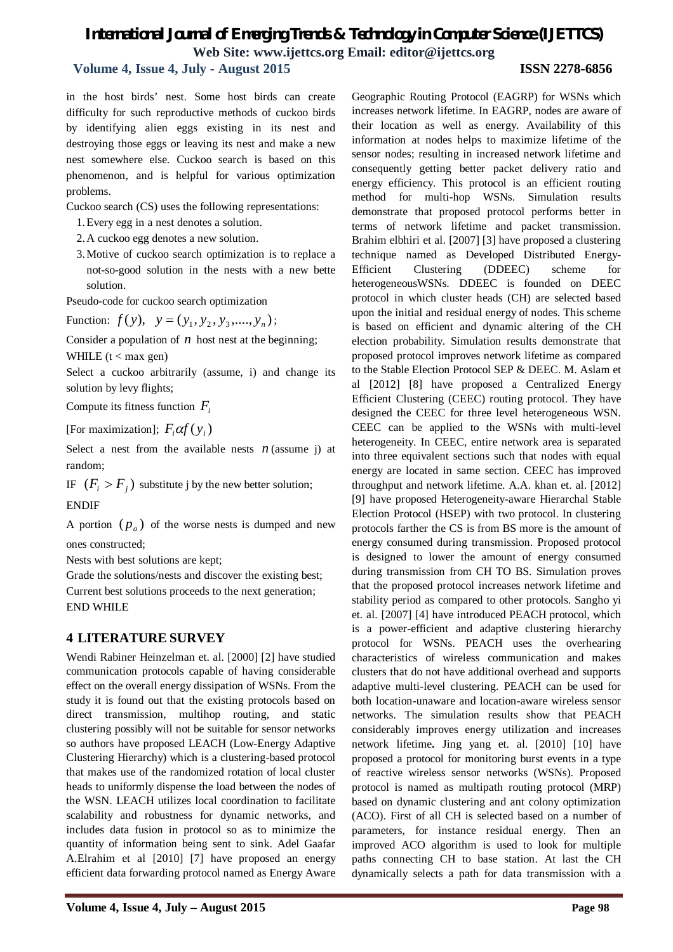### **Volume 4, Issue 4, July - August 2015 ISSN 2278-6856**

in the host birds' nest. Some host birds can create difficulty for such reproductive methods of cuckoo birds by identifying alien eggs existing in its nest and destroying those eggs or leaving its nest and make a new nest somewhere else. Cuckoo search is based on this phenomenon, and is helpful for various optimization problems.

Cuckoo search (CS) uses the following representations:

- 1.Every egg in a nest denotes a solution.
- 2.A cuckoo egg denotes a new solution.
- 3.Motive of cuckoo search optimization is to replace a not-so-good solution in the nests with a new bette solution.

Pseudo-code for cuckoo search optimization

Function:  $f(y)$ ,  $y = (y_1, y_2, y_3, \dots, y_n);$ 

Consider a population of  $n$  host nest at the beginning; WHILE  $(t < max$  gen)

Select a cuckoo arbitrarily (assume, i) and change its solution by levy flights;

Compute its fitness function *F<sup>i</sup>*

[For maximization];  $F_i \alpha f(y_i)$ 

Select a nest from the available nests  $n$  (assume j) at random;

IF  $(F_i > F_j)$  substitute j by the new better solution;

ENDIF

A portion  $(p_a)$  of the worse nests is dumped and new ones constructed;

Nests with best solutions are kept;

Grade the solutions/nests and discover the existing best; Current best solutions proceeds to the next generation; END WHILE

#### **4 LITERATURE SURVEY**

Wendi Rabiner Heinzelman et. al. [2000] [2] have studied communication protocols capable of having considerable effect on the overall energy dissipation of WSNs. From the study it is found out that the existing protocols based on direct transmission, multihop routing, and static clustering possibly will not be suitable for sensor networks so authors have proposed LEACH (Low-Energy Adaptive Clustering Hierarchy) which is a clustering-based protocol that makes use of the randomized rotation of local cluster heads to uniformly dispense the load between the nodes of the WSN. LEACH utilizes local coordination to facilitate scalability and robustness for dynamic networks, and includes data fusion in protocol so as to minimize the quantity of information being sent to sink. Adel Gaafar A.Elrahim et al [2010] [7] have proposed an energy efficient data forwarding protocol named as Energy Aware

Geographic Routing Protocol (EAGRP) for WSNs which increases network lifetime. In EAGRP, nodes are aware of their location as well as energy. Availability of this information at nodes helps to maximize lifetime of the sensor nodes; resulting in increased network lifetime and consequently getting better packet delivery ratio and energy efficiency. This protocol is an efficient routing method for multi-hop WSNs. Simulation results demonstrate that proposed protocol performs better in terms of network lifetime and packet transmission. Brahim elbhiri et al. [2007] [3] have proposed a clustering technique named as Developed Distributed Energy-Efficient Clustering (DDEEC) scheme for heterogeneousWSNs. DDEEC is founded on DEEC protocol in which cluster heads (CH) are selected based upon the initial and residual energy of nodes. This scheme is based on efficient and dynamic altering of the CH election probability. Simulation results demonstrate that proposed protocol improves network lifetime as compared to the Stable Election Protocol SEP & DEEC. M. Aslam et al [2012] [8] have proposed a Centralized Energy Efficient Clustering (CEEC) routing protocol. They have designed the CEEC for three level heterogeneous WSN. CEEC can be applied to the WSNs with multi-level heterogeneity. In CEEC, entire network area is separated into three equivalent sections such that nodes with equal energy are located in same section. CEEC has improved throughput and network lifetime. A.A. khan et. al. [2012] [9] have proposed Heterogeneity-aware Hierarchal Stable Election Protocol (HSEP) with two protocol. In clustering protocols farther the CS is from BS more is the amount of energy consumed during transmission. Proposed protocol is designed to lower the amount of energy consumed during transmission from CH TO BS. Simulation proves that the proposed protocol increases network lifetime and stability period as compared to other protocols. Sangho yi et. al. [2007] [4] have introduced PEACH protocol, which is a power-efficient and adaptive clustering hierarchy protocol for WSNs. PEACH uses the overhearing characteristics of wireless communication and makes clusters that do not have additional overhead and supports adaptive multi-level clustering. PEACH can be used for both location-unaware and location-aware wireless sensor networks. The simulation results show that PEACH considerably improves energy utilization and increases network lifetime**.** Jing yang et. al. [2010] [10] have proposed a protocol for monitoring burst events in a type of reactive wireless sensor networks (WSNs). Proposed protocol is named as multipath routing protocol (MRP) based on dynamic clustering and ant colony optimization (ACO). First of all CH is selected based on a number of parameters, for instance residual energy. Then an improved ACO algorithm is used to look for multiple paths connecting CH to base station. At last the CH dynamically selects a path for data transmission with a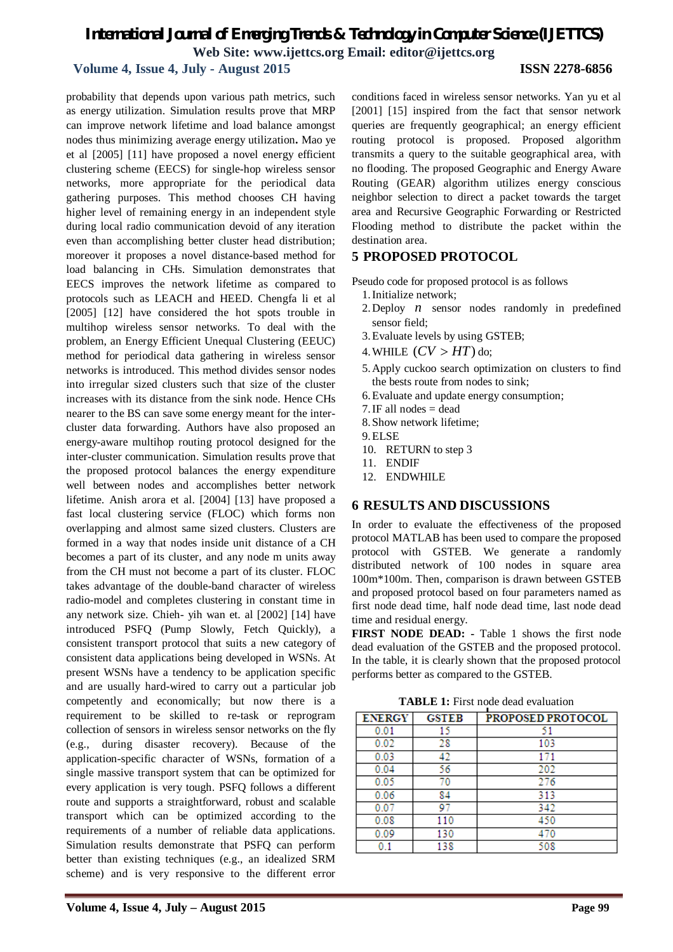#### **Volume 4, Issue 4, July - August 2015 ISSN 2278-6856**

probability that depends upon various path metrics, such as energy utilization. Simulation results prove that MRP can improve network lifetime and load balance amongst nodes thus minimizing average energy utilization**.** Mao ye et al [2005] [11] have proposed a novel energy efficient clustering scheme (EECS) for single-hop wireless sensor networks, more appropriate for the periodical data gathering purposes. This method chooses CH having higher level of remaining energy in an independent style during local radio communication devoid of any iteration even than accomplishing better cluster head distribution; moreover it proposes a novel distance-based method for load balancing in CHs. Simulation demonstrates that EECS improves the network lifetime as compared to protocols such as LEACH and HEED. Chengfa li et al [2005] [12] have considered the hot spots trouble in multihop wireless sensor networks. To deal with the problem, an Energy Efficient Unequal Clustering (EEUC) method for periodical data gathering in wireless sensor networks is introduced. This method divides sensor nodes into irregular sized clusters such that size of the cluster increases with its distance from the sink node. Hence CHs nearer to the BS can save some energy meant for the intercluster data forwarding. Authors have also proposed an energy-aware multihop routing protocol designed for the inter-cluster communication. Simulation results prove that the proposed protocol balances the energy expenditure well between nodes and accomplishes better network lifetime. Anish arora et al. [2004] [13] have proposed a fast local clustering service (FLOC) which forms non overlapping and almost same sized clusters. Clusters are formed in a way that nodes inside unit distance of a CH becomes a part of its cluster, and any node m units away from the CH must not become a part of its cluster. FLOC takes advantage of the double-band character of wireless radio-model and completes clustering in constant time in any network size. Chieh- yih wan et. al [2002] [14] have introduced PSFQ (Pump Slowly, Fetch Quickly), a consistent transport protocol that suits a new category of consistent data applications being developed in WSNs. At present WSNs have a tendency to be application specific and are usually hard-wired to carry out a particular job competently and economically; but now there is a requirement to be skilled to re-task or reprogram collection of sensors in wireless sensor networks on the fly (e.g., during disaster recovery). Because of the application-specific character of WSNs, formation of a single massive transport system that can be optimized for every application is very tough. PSFQ follows a different route and supports a straightforward, robust and scalable transport which can be optimized according to the requirements of a number of reliable data applications. Simulation results demonstrate that PSFQ can perform better than existing techniques (e.g., an idealized SRM scheme) and is very responsive to the different error

conditions faced in wireless sensor networks. Yan yu et al [2001] [15] inspired from the fact that sensor network queries are frequently geographical; an energy efficient routing protocol is proposed. Proposed algorithm transmits a query to the suitable geographical area, with no flooding. The proposed Geographic and Energy Aware Routing (GEAR) algorithm utilizes energy conscious neighbor selection to direct a packet towards the target area and Recursive Geographic Forwarding or Restricted Flooding method to distribute the packet within the destination area.

### **5 PROPOSED PROTOCOL**

Pseudo code for proposed protocol is as follows

- 1.Initialize network;
- 2.Deploy *n* sensor nodes randomly in predefined sensor field;
- 3.Evaluate levels by using GSTEB;
- 4. WHILE  $(CV > HT)$  do;
- 5.Apply cuckoo search optimization on clusters to find the bests route from nodes to sink;
- 6.Evaluate and update energy consumption;
- 7.IF all nodes = dead
- 8.Show network lifetime;
- 9.ELSE
- 10. RETURN to step 3
- 11. ENDIF
- 12. ENDWHILE

#### **6 RESULTS AND DISCUSSIONS**

In order to evaluate the effectiveness of the proposed protocol MATLAB has been used to compare the proposed protocol with GSTEB. We generate a randomly distributed network of 100 nodes in square area 100m\*100m. Then, comparison is drawn between GSTEB and proposed protocol based on four parameters named as first node dead time, half node dead time, last node dead time and residual energy.

**FIRST NODE DEAD: -** Table 1 shows the first node dead evaluation of the GSTEB and the proposed protocol. In the table, it is clearly shown that the proposed protocol performs better as compared to the GSTEB.

**TABLE 1:** First node dead evaluation

| <b>ENERGY</b> | <b>GSTEB</b> | PROPOSED PROTOCOL |
|---------------|--------------|-------------------|
| 0.01          | 15           | 51                |
| 0.02          | 28           | 103               |
| 0.03          | 42           | 171               |
| 0.04          | 56           | 202               |
| 0.05          | 70           | 276               |
| 0.06          | 84           | 313               |
| 0.07          | 97           | 342               |
| 0.08          | 110          | 450               |
| 0.09          | 130          | 470               |
|               | 138          | 508               |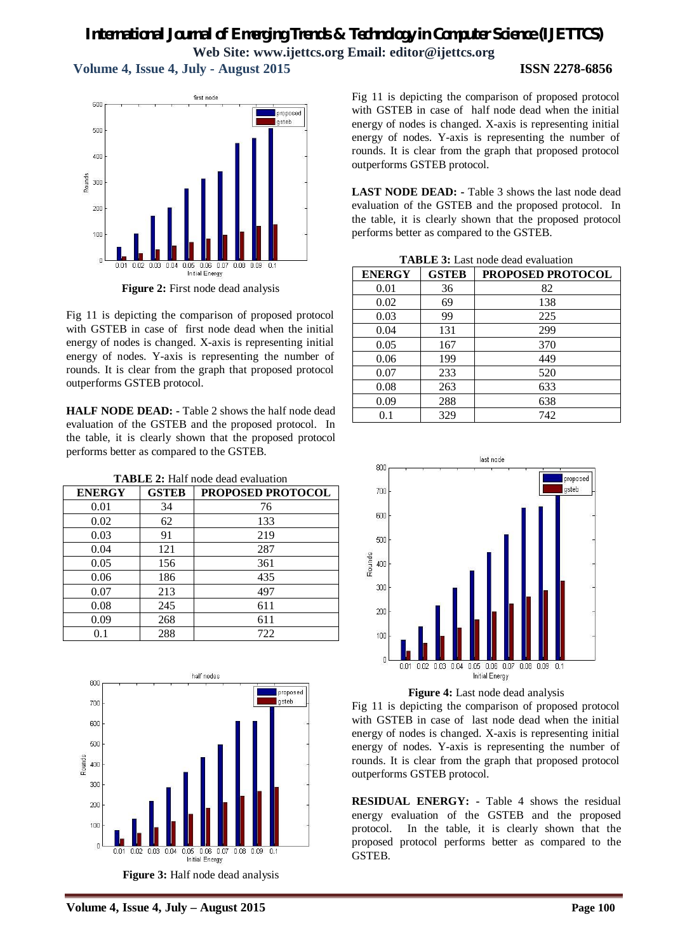**Volume 4, Issue 4, July - August 2015 ISSN 2278-6856**



**Figure 2:** First node dead analysis

Fig 11 is depicting the comparison of proposed protocol with GSTEB in case of first node dead when the initial energy of nodes is changed. X-axis is representing initial energy of nodes. Y-axis is representing the number of rounds. It is clear from the graph that proposed protocol outperforms GSTEB protocol.

**HALF NODE DEAD: -** Table 2 shows the half node dead evaluation of the GSTEB and the proposed protocol. In the table, it is clearly shown that the proposed protocol performs better as compared to the GSTEB.

| <b>TABLE 2:</b> Half node dead evaluation |  |
|-------------------------------------------|--|
|                                           |  |

| <b>ENERGY</b> | <b>GSTEB</b> | PROPOSED PROTOCOL |
|---------------|--------------|-------------------|
| 0.01          | 34           | 76                |
| 0.02          | 62           | 133               |
| 0.03          | 91           | 219               |
| 0.04          | 121          | 287               |
| 0.05          | 156          | 361               |
| 0.06          | 186          | 435               |
| 0.07          | 213          | 497               |
| 0.08          | 245          | 611               |
| 0.09          | 268          | 611               |
| 0.1           | 288          | 722               |



**Volume 4, Issue 4, July – August 2015 Page 100**

Fig 11 is depicting the comparison of proposed protocol with GSTEB in case of half node dead when the initial energy of nodes is changed. X-axis is representing initial energy of nodes. Y-axis is representing the number of rounds. It is clear from the graph that proposed protocol outperforms GSTEB protocol.

**LAST NODE DEAD: -** Table 3 shows the last node dead evaluation of the GSTEB and the proposed protocol. In the table, it is clearly shown that the proposed protocol performs better as compared to the GSTEB.

| <b>TABLE 3:</b> Last node dead evaluation |  |
|-------------------------------------------|--|
|-------------------------------------------|--|

| <b>ENERGY</b> | <b>GSTEB</b> | <b>PROPOSED PROTOCOL</b> |
|---------------|--------------|--------------------------|
| 0.01          | 36           | 82                       |
| 0.02          | 69           | 138                      |
| 0.03          | 99           | 225                      |
| 0.04          | 131          | 299                      |
| 0.05          | 167          | 370                      |
| 0.06          | 199          | 449                      |
| 0.07          | 233          | 520                      |
| 0.08          | 263          | 633                      |
| 0.09          | 288          | 638                      |
| 0.1           | 329          | 742                      |





Fig 11 is depicting the comparison of proposed protocol with GSTEB in case of last node dead when the initial energy of nodes is changed. X-axis is representing initial energy of nodes. Y-axis is representing the number of rounds. It is clear from the graph that proposed protocol outperforms GSTEB protocol.

**RESIDUAL ENERGY: -** Table 4 shows the residual energy evaluation of the GSTEB and the proposed protocol. In the table, it is clearly shown that the proposed protocol performs better as compared to the GSTEB.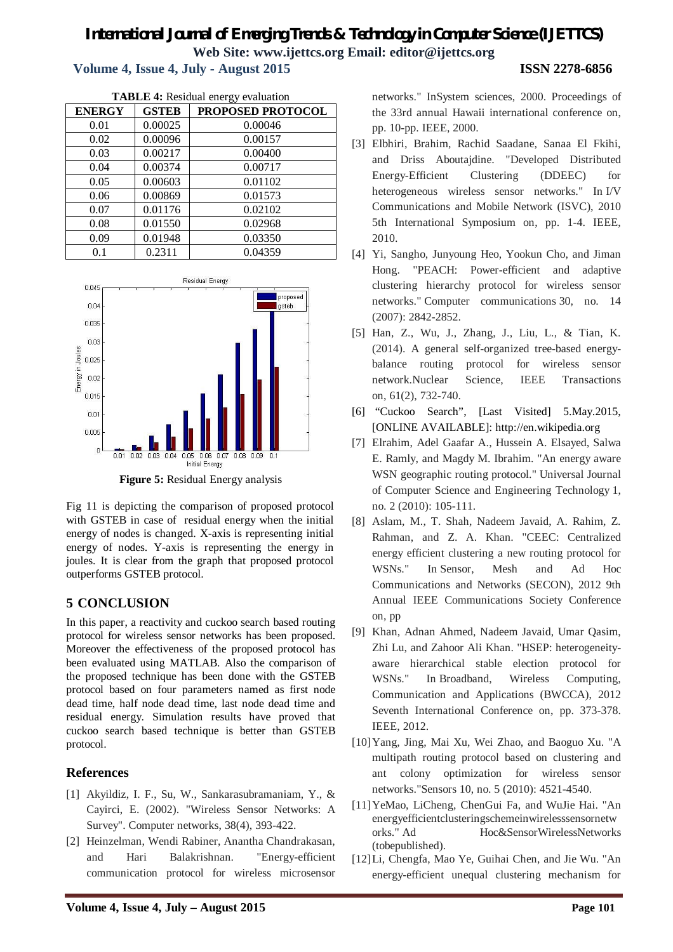# *International Journal of Emerging Trends & Technology in Computer Science (IJETTCS)* **Web Site: www.ijettcs.org Email: editor@ijettcs.org Volume 4, Issue 4, July - August 2015 ISSN 2278-6856**

| Volume 4, Issue 4, July - August 2015 |  |  |  |  |
|---------------------------------------|--|--|--|--|
|---------------------------------------|--|--|--|--|

| <b>TABLE 4: Residual energy evaluation</b> |              |                   |  |
|--------------------------------------------|--------------|-------------------|--|
| <b>ENERGY</b>                              | <b>GSTEB</b> | PROPOSED PROTOCOL |  |
| 0.01                                       | 0.00025      | 0.00046           |  |
| 0.02                                       | 0.00096      | 0.00157           |  |
| 0.03                                       | 0.00217      | 0.00400           |  |
| 0.04                                       | 0.00374      | 0.00717           |  |
| 0.05                                       | 0.00603      | 0.01102           |  |
| 0.06                                       | 0.00869      | 0.01573           |  |
| 0.07                                       | 0.01176      | 0.02102           |  |
| 0.08                                       | 0.01550      | 0.02968           |  |
| 0.09                                       | 0.01948      | 0.03350           |  |
| 0.1                                        | 0.2311       | 0.04359           |  |

networks." InSystem sciences, 2000. Proceedings of the 33rd annual Hawaii international conference on, pp. 10-pp. IEEE, 2000. [3] Elbhiri, Brahim, Rachid Saadane, Sanaa El Fkihi,

- and Driss Aboutajdine. "Developed Distributed Energy-Efficient Clustering (DDEEC) for heterogeneous wireless sensor networks." In I/V Communications and Mobile Network (ISVC), 2010 5th International Symposium on, pp. 1-4. IEEE, 2010.
- [4] Yi, Sangho, Junyoung Heo, Yookun Cho, and Jiman Hong. "PEACH: Power-efficient and adaptive clustering hierarchy protocol for wireless sensor networks." Computer communications 30, no. 14 (2007): 2842-2852.
- [5] Han, Z., Wu, J., Zhang, J., Liu, L., & Tian, K. (2014). A general self-organized tree-based energybalance routing protocol for wireless sensor network.Nuclear Science, IEEE Transactions on, 61(2), 732-740.
- [6] "Cuckoo Search", [Last Visited] 5.May.2015, [ONLINE AVAILABLE]: http://en.wikipedia.org
- [7] Elrahim, Adel Gaafar A., Hussein A. Elsayed, Salwa E. Ramly, and Magdy M. Ibrahim. "An energy aware WSN geographic routing protocol." Universal Journal of Computer Science and Engineering Technology 1, no. 2 (2010): 105-111.
- [8] Aslam, M., T. Shah, Nadeem Javaid, A. Rahim, Z. Rahman, and Z. A. Khan. "CEEC: Centralized energy efficient clustering a new routing protocol for WSNs." In Sensor, Mesh and Ad Hoc Communications and Networks (SECON), 2012 9th Annual IEEE Communications Society Conference on, pp
- [9] Khan, Adnan Ahmed, Nadeem Javaid, Umar Qasim, Zhi Lu, and Zahoor Ali Khan. "HSEP: heterogeneityaware hierarchical stable election protocol for WSNs." In Broadband, Wireless Computing, Communication and Applications (BWCCA), 2012 Seventh International Conference on, pp. 373-378. IEEE, 2012.
- [10]Yang, Jing, Mai Xu, Wei Zhao, and Baoguo Xu. "A multipath routing protocol based on clustering and ant colony optimization for wireless sensor networks."Sensors 10, no. 5 (2010): 4521-4540.
- [11]YeMao, LiCheng, ChenGui Fa, and WuJie Hai. "An energyefficientclusteringschemeinwirelesssensornetw orks." Ad Hoc&SensorWirelessNetworks (tobepublished).
- [12]Li, Chengfa, Mao Ye, Guihai Chen, and Jie Wu. "An energy-efficient unequal clustering mechanism for



**Figure 5:** Residual Energy analysis

Fig 11 is depicting the comparison of proposed protocol with GSTEB in case of residual energy when the initial energy of nodes is changed. X-axis is representing initial energy of nodes. Y-axis is representing the energy in joules. It is clear from the graph that proposed protocol outperforms GSTEB protocol.

# **5 CONCLUSION**

In this paper, a reactivity and cuckoo search based routing protocol for wireless sensor networks has been proposed. Moreover the effectiveness of the proposed protocol has been evaluated using MATLAB. Also the comparison of the proposed technique has been done with the GSTEB protocol based on four parameters named as first node dead time, half node dead time, last node dead time and residual energy. Simulation results have proved that cuckoo search based technique is better than GSTEB protocol.

# **References**

- [1] Akyildiz, I. F., Su, W., Sankarasubramaniam, Y., & Cayirci, E. (2002). "Wireless Sensor Networks: A Survey". Computer networks, 38(4), 393-422.
- [2] Heinzelman, Wendi Rabiner, Anantha Chandrakasan, and Hari Balakrishnan. "Energy-efficient communication protocol for wireless microsensor